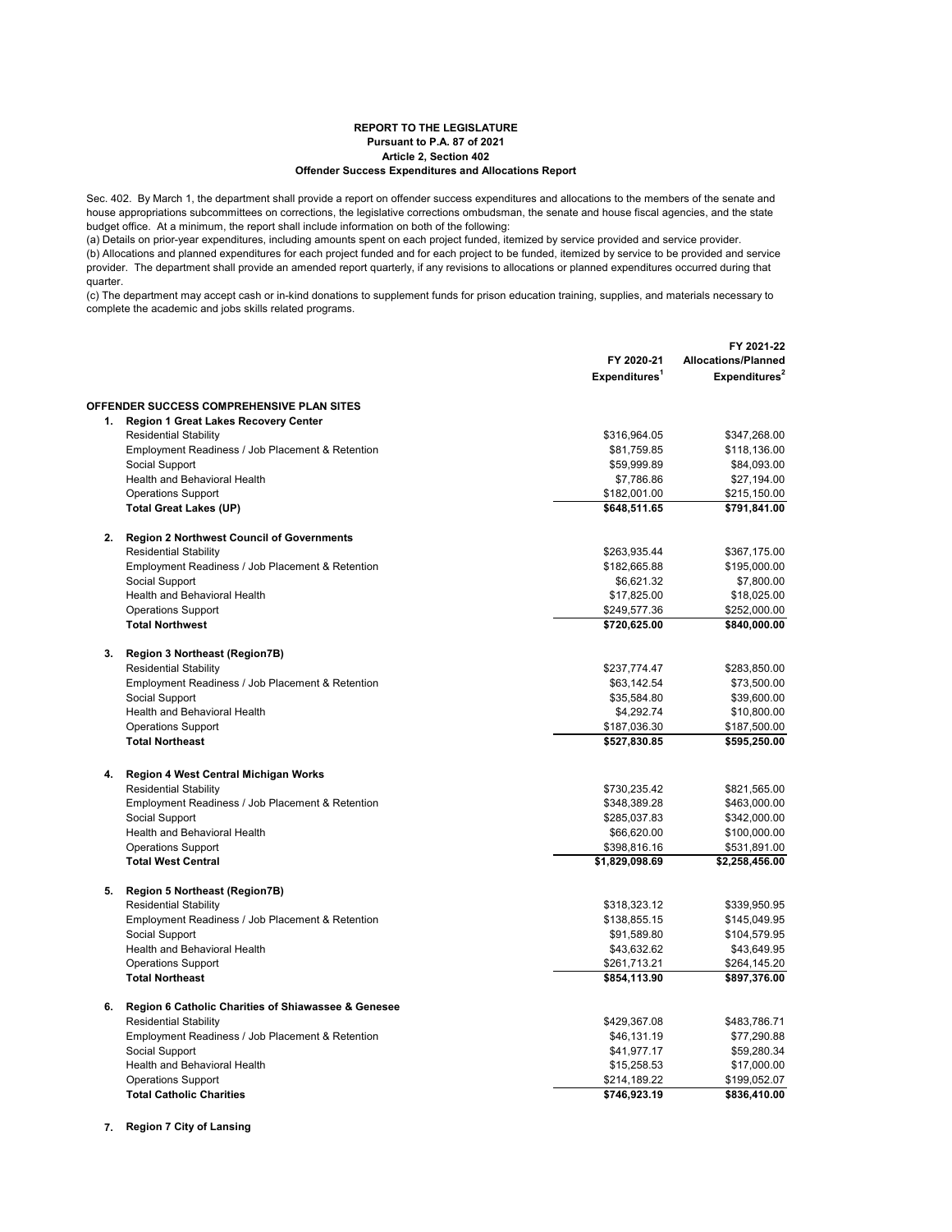## **REPORT TO THE LEGISLATURE Pursuant to P.A. 87 of 2021 Article 2, Section 402 Offender Success Expenditures and Allocations Report**

Sec. 402. By March 1, the department shall provide a report on offender success expenditures and allocations to the members of the senate and house appropriations subcommittees on corrections, the legislative corrections ombudsman, the senate and house fiscal agencies, and the state budget office. At a minimum, the report shall include information on both of the following:

(a) Details on prior-year expenditures, including amounts spent on each project funded, itemized by service provided and service provider. (b) Allocations and planned expenditures for each project funded and for each project to be funded, itemized by service to be provided and service provider. The department shall provide an amended report quarterly, if any revisions to allocations or planned expenditures occurred during that quarter.

(c) The department may accept cash or in-kind donations to supplement funds for prison education training, supplies, and materials necessary to complete the academic and jobs skills related programs.

|    |                                                                      |                           | FY 2021-22                 |
|----|----------------------------------------------------------------------|---------------------------|----------------------------|
|    |                                                                      | FY 2020-21                | <b>Allocations/Planned</b> |
|    |                                                                      | Expenditures <sup>1</sup> | Expenditures <sup>2</sup>  |
|    | <b>OFFENDER SUCCESS COMPREHENSIVE PLAN SITES</b>                     |                           |                            |
|    | 1. Region 1 Great Lakes Recovery Center                              |                           |                            |
|    | <b>Residential Stability</b>                                         | \$316,964.05              | \$347,268.00               |
|    | Employment Readiness / Job Placement & Retention                     | \$81,759.85               | \$118,136.00               |
|    | Social Support                                                       | \$59,999.89               | \$84,093.00                |
|    | Health and Behavioral Health                                         | \$7,786.86                | \$27,194.00                |
|    | <b>Operations Support</b>                                            | \$182,001.00              | \$215,150.00               |
|    | <b>Total Great Lakes (UP)</b>                                        | \$648,511.65              | \$791,841.00               |
| 2. | <b>Region 2 Northwest Council of Governments</b>                     |                           |                            |
|    | <b>Residential Stability</b>                                         | \$263,935.44              | \$367,175.00               |
|    | Employment Readiness / Job Placement & Retention                     | \$182,665.88              | \$195,000.00               |
|    | Social Support                                                       | \$6,621.32                | \$7,800.00                 |
|    | Health and Behavioral Health                                         | \$17,825.00               | \$18,025.00                |
|    | <b>Operations Support</b>                                            | \$249,577.36              | \$252,000.00               |
|    | <b>Total Northwest</b>                                               | \$720,625.00              | \$840,000.00               |
| 3. | <b>Region 3 Northeast (Region7B)</b>                                 |                           |                            |
|    | <b>Residential Stability</b>                                         | \$237,774.47              | \$283,850.00               |
|    | Employment Readiness / Job Placement & Retention                     | \$63,142.54               | \$73,500.00                |
|    | Social Support                                                       | \$35,584.80               | \$39,600.00                |
|    | Health and Behavioral Health                                         | \$4,292.74                | \$10,800.00                |
|    | <b>Operations Support</b>                                            | \$187,036.30              | \$187,500.00               |
|    | <b>Total Northeast</b>                                               | \$527,830.85              | \$595,250.00               |
|    |                                                                      |                           |                            |
| 4. | Region 4 West Central Michigan Works<br><b>Residential Stability</b> |                           |                            |
|    | Employment Readiness / Job Placement & Retention                     | \$730,235.42              | \$821,565.00               |
|    |                                                                      | \$348,389.28              | \$463,000.00               |
|    | Social Support                                                       | \$285,037.83              | \$342,000.00               |
|    | Health and Behavioral Health                                         | \$66,620.00               | \$100,000.00               |
|    | <b>Operations Support</b>                                            | \$398,816.16              | \$531,891.00               |
|    | <b>Total West Central</b>                                            | \$1,829,098.69            | \$2,258,456.00             |
| 5. | <b>Region 5 Northeast (Region7B)</b>                                 |                           |                            |
|    | <b>Residential Stability</b>                                         | \$318,323.12              | \$339,950.95               |
|    | Employment Readiness / Job Placement & Retention                     | \$138,855.15              | \$145,049.95               |
|    | Social Support                                                       | \$91,589.80               | \$104,579.95               |
|    | Health and Behavioral Health                                         | \$43,632.62               | \$43,649.95                |
|    | <b>Operations Support</b>                                            | \$261,713.21              | \$264,145.20               |
|    | <b>Total Northeast</b>                                               | \$854,113.90              | \$897,376.00               |
| 6. | Region 6 Catholic Charities of Shiawassee & Genesee                  |                           |                            |
|    | <b>Residential Stability</b>                                         | \$429,367.08              | \$483,786.71               |
|    | Employment Readiness / Job Placement & Retention                     | \$46,131.19               | \$77,290.88                |
|    | Social Support                                                       | \$41,977.17               | \$59,280.34                |
|    | <b>Health and Behavioral Health</b>                                  | \$15,258.53               | \$17,000.00                |
|    | <b>Operations Support</b>                                            | \$214,189.22              | \$199,052.07               |
|    | <b>Total Catholic Charities</b>                                      | \$746,923.19              | \$836,410.00               |

**7. Region 7 City of Lansing**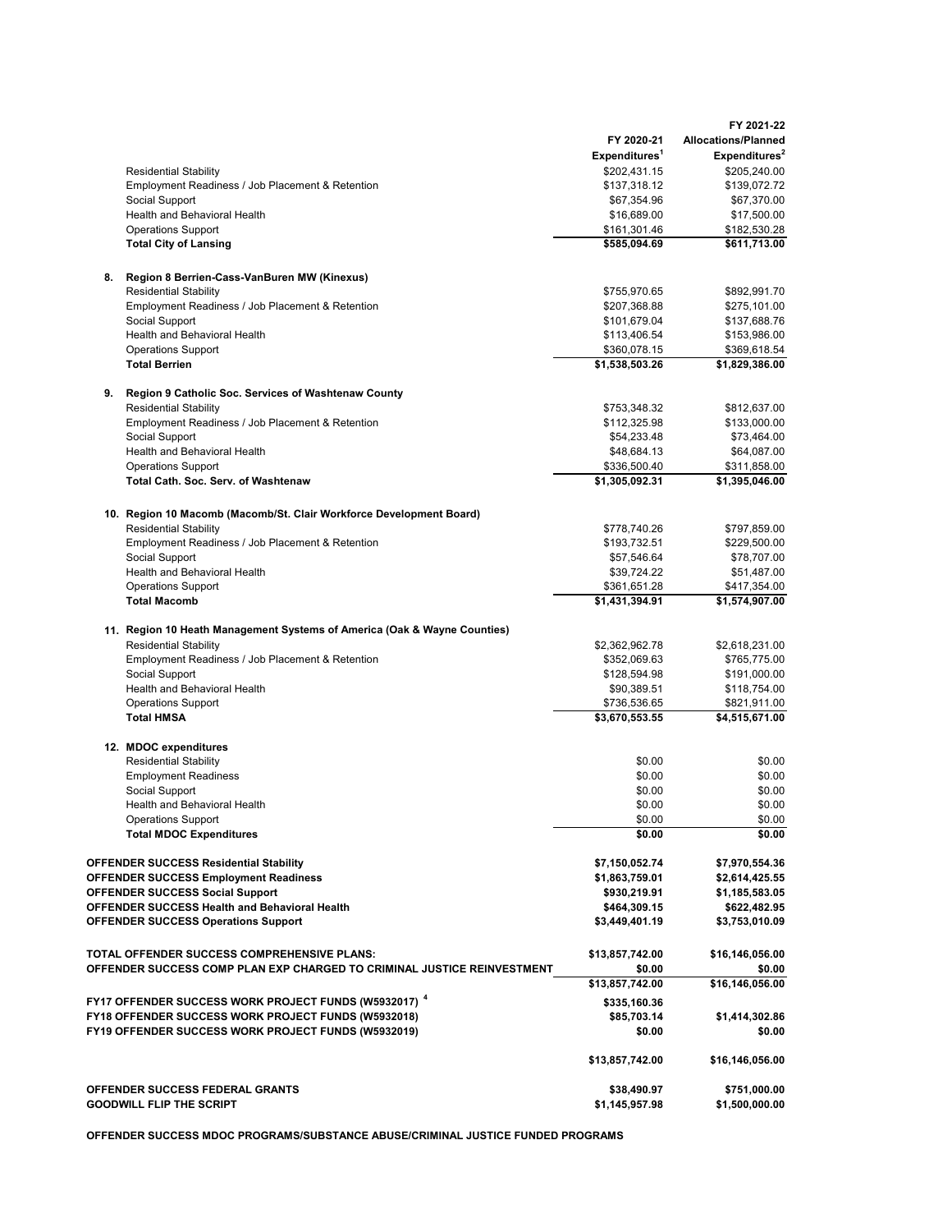|                                                              |                                                                                                            |                                           | FY 2021-22                                              |
|--------------------------------------------------------------|------------------------------------------------------------------------------------------------------------|-------------------------------------------|---------------------------------------------------------|
|                                                              |                                                                                                            | FY 2020-21                                | <b>Allocations/Planned</b><br>Expenditures <sup>2</sup> |
|                                                              |                                                                                                            | Expenditures <sup>1</sup><br>\$202,431.15 | \$205,240.00                                            |
|                                                              | <b>Residential Stability</b><br>Employment Readiness / Job Placement & Retention                           | \$137,318.12                              | \$139,072.72                                            |
|                                                              | Social Support                                                                                             | \$67,354.96                               | \$67,370.00                                             |
|                                                              | Health and Behavioral Health                                                                               | \$16,689.00                               | \$17,500.00                                             |
|                                                              | <b>Operations Support</b>                                                                                  | \$161,301.46                              | \$182,530.28                                            |
|                                                              | <b>Total City of Lansing</b>                                                                               | \$585,094.69                              | \$611,713.00                                            |
| 8.                                                           | Region 8 Berrien-Cass-VanBuren MW (Kinexus)                                                                |                                           |                                                         |
|                                                              | <b>Residential Stability</b>                                                                               | \$755,970.65                              | \$892,991.70                                            |
|                                                              | Employment Readiness / Job Placement & Retention                                                           | \$207,368.88                              | \$275,101.00                                            |
|                                                              | Social Support                                                                                             | \$101,679.04                              | \$137,688.76                                            |
|                                                              | Health and Behavioral Health                                                                               | \$113,406.54                              | \$153,986.00                                            |
|                                                              | <b>Operations Support</b>                                                                                  | \$360,078.15                              | \$369,618.54                                            |
|                                                              | <b>Total Berrien</b>                                                                                       | \$1,538,503.26                            | \$1,829,386.00                                          |
| 9.                                                           | Region 9 Catholic Soc. Services of Washtenaw County                                                        |                                           |                                                         |
|                                                              | <b>Residential Stability</b>                                                                               | \$753,348.32<br>\$112,325.98              | \$812,637.00                                            |
|                                                              | Employment Readiness / Job Placement & Retention<br>Social Support                                         | \$54,233.48                               | \$133,000.00<br>\$73,464.00                             |
|                                                              | Health and Behavioral Health                                                                               | \$48,684.13                               | \$64,087.00                                             |
|                                                              | <b>Operations Support</b>                                                                                  | \$336,500.40                              | \$311,858.00                                            |
|                                                              | <b>Total Cath. Soc. Serv. of Washtenaw</b>                                                                 | \$1,305,092.31                            | \$1,395,046.00                                          |
|                                                              | 10. Region 10 Macomb (Macomb/St. Clair Workforce Development Board)                                        |                                           |                                                         |
|                                                              | <b>Residential Stability</b>                                                                               | \$778,740.26                              | \$797,859.00                                            |
|                                                              | Employment Readiness / Job Placement & Retention                                                           | \$193,732.51                              | \$229,500.00                                            |
|                                                              | Social Support                                                                                             | \$57,546.64                               | \$78,707.00                                             |
|                                                              | Health and Behavioral Health                                                                               | \$39,724.22                               | \$51,487.00                                             |
|                                                              | <b>Operations Support</b>                                                                                  | \$361,651.28                              | \$417,354.00                                            |
|                                                              | <b>Total Macomb</b>                                                                                        | \$1,431,394.91                            | \$1,574,907.00                                          |
|                                                              | 11. Region 10 Heath Management Systems of America (Oak & Wayne Counties)                                   |                                           |                                                         |
|                                                              | <b>Residential Stability</b>                                                                               | \$2,362,962.78                            | \$2,618,231.00                                          |
|                                                              | Employment Readiness / Job Placement & Retention<br>Social Support                                         | \$352,069.63<br>\$128,594.98              | \$765,775.00                                            |
|                                                              | <b>Health and Behavioral Health</b>                                                                        | \$90,389.51                               | \$191,000.00<br>\$118,754.00                            |
|                                                              | <b>Operations Support</b>                                                                                  | \$736,536.65                              | \$821,911.00                                            |
|                                                              | <b>Total HMSA</b>                                                                                          | \$3,670,553.55                            | \$4,515,671.00                                          |
|                                                              | 12. MDOC expenditures                                                                                      |                                           |                                                         |
|                                                              | <b>Residential Stability</b>                                                                               | \$0.00                                    | \$0.00                                                  |
|                                                              | <b>Employment Readiness</b>                                                                                | \$0.00                                    | \$0.00                                                  |
|                                                              | Social Support                                                                                             | \$0.00                                    | \$0.00                                                  |
|                                                              | Health and Behavioral Health                                                                               | \$0.00                                    | \$0.00                                                  |
|                                                              | <b>Operations Support</b>                                                                                  | \$0.00                                    | \$0.00                                                  |
|                                                              | <b>Total MDOC Expenditures</b>                                                                             | \$0.00                                    | \$0.00                                                  |
|                                                              | <b>OFFENDER SUCCESS Residential Stability</b>                                                              | \$7,150,052.74                            | \$7,970,554.36                                          |
|                                                              | <b>OFFENDER SUCCESS Employment Readiness</b>                                                               | \$1,863,759.01                            | \$2,614,425.55                                          |
|                                                              | <b>OFFENDER SUCCESS Social Support</b>                                                                     | \$930,219.91                              | \$1,185,583.05                                          |
|                                                              | OFFENDER SUCCESS Health and Behavioral Health                                                              | \$464,309.15                              | \$622,482.95                                            |
|                                                              | <b>OFFENDER SUCCESS Operations Support</b>                                                                 | \$3,449,401.19                            | \$3,753,010.09                                          |
|                                                              | TOTAL OFFENDER SUCCESS COMPREHENSIVE PLANS:                                                                | \$13,857,742.00                           | \$16,146,056.00                                         |
|                                                              | OFFENDER SUCCESS COMP PLAN EXP CHARGED TO CRIMINAL JUSTICE REINVESTMENT                                    | \$0.00                                    | \$0.00                                                  |
|                                                              |                                                                                                            | \$13,857,742.00                           | \$16,146,056.00                                         |
| FY17 OFFENDER SUCCESS WORK PROJECT FUNDS (W5932017) $^{\,4}$ |                                                                                                            | \$335,160.36                              |                                                         |
|                                                              | FY18 OFFENDER SUCCESS WORK PROJECT FUNDS (W5932018)<br>FY19 OFFENDER SUCCESS WORK PROJECT FUNDS (W5932019) | \$85,703.14<br>\$0.00                     | \$1,414,302.86<br>\$0.00                                |
|                                                              |                                                                                                            | \$13,857,742.00                           | \$16,146,056.00                                         |
|                                                              |                                                                                                            |                                           |                                                         |
|                                                              | OFFENDER SUCCESS FEDERAL GRANTS                                                                            | \$38,490.97                               | \$751,000.00                                            |
|                                                              | <b>GOODWILL FLIP THE SCRIPT</b>                                                                            | \$1,145,957.98                            | \$1,500,000.00                                          |

**OFFENDER SUCCESS MDOC PROGRAMS/SUBSTANCE ABUSE/CRIMINAL JUSTICE FUNDED PROGRAMS**